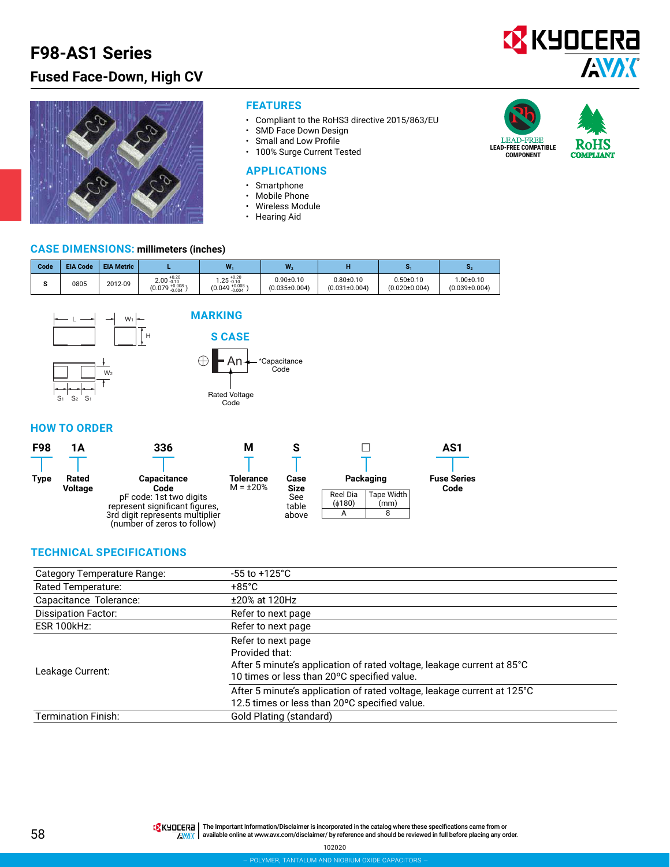# **F98-AS1 Series Fused Face-Down, High CV**





#### **FEATURES**

- Compliant to the RoHS3 directive 2015/863/EU<br>• SMD Face Down Design
- SMD Face Down Design
- Small and Low Profile
- 100% Surge Current Tested

#### **APPLICATIONS**

- Smartphone
- Mobile Phone<br>• Wireless Modu
- Wireless Module<br>• Hearing Aid
- Hearing Aid





#### **CASE DIMENSIONS: millimeters (inches)**

| Code | <b>EIA Code</b> | <b>EIA Metric</b> |                                                                   | W                                                     | W <sub>2</sub>                       |                                      |                                      |                                       |
|------|-----------------|-------------------|-------------------------------------------------------------------|-------------------------------------------------------|--------------------------------------|--------------------------------------|--------------------------------------|---------------------------------------|
|      | 0805            | 2012-09           | $2.00 \, {}^{+0.20}_{-0.10}$<br>$(0.079 \, {}^{+0.008}_{-0.004})$ | $1.25 \substack{+0.20 \\ -0.10}$<br>$(0.049 + 0.008)$ | $0.90 + 0.10$<br>$(0.035 \pm 0.004)$ | $0.80 + 0.10$<br>$(0.031 \pm 0.004)$ | $0.50 + 0.10$<br>$(0.020 \pm 0.004)$ | $.00 \pm 0.10$<br>$(0.039 \pm 0.004)$ |



### **HOW TO ORDER**

| <b>F98</b> | 1Α                      | 336                                                                                                                         | М                           | o                     |                    | AS1                        |  |
|------------|-------------------------|-----------------------------------------------------------------------------------------------------------------------------|-----------------------------|-----------------------|--------------------|----------------------------|--|
|            |                         |                                                                                                                             |                             |                       |                    |                            |  |
| Type       | Rated<br><b>Voltage</b> | <b>Capacitance</b><br>Code                                                                                                  | Tolerance<br>$M = \pm 20\%$ | Case<br><b>Size</b>   | Packaging          | <b>Fuse Series</b><br>Code |  |
|            |                         | pF code: 1st two digits<br>represent significant figures,<br>3rd digit represents multiplier<br>(number of zeros to follow) |                             | See<br>table<br>above | Reel Dia<br>(6180) | Tape Width<br>(mm)         |  |
|            |                         |                                                                                                                             |                             |                       |                    |                            |  |

#### **TECHNICAL SPECIFICATIONS**

| Category Temperature Range: | $-55$ to $+125^{\circ}$ C                                                                                                                                     |  |  |  |  |
|-----------------------------|---------------------------------------------------------------------------------------------------------------------------------------------------------------|--|--|--|--|
| Rated Temperature:          | $+85^{\circ}$ C                                                                                                                                               |  |  |  |  |
| Capacitance Tolerance:      | ±20% at 120Hz                                                                                                                                                 |  |  |  |  |
| Dissipation Factor:         | Refer to next page                                                                                                                                            |  |  |  |  |
| ESR 100kHz:                 | Refer to next page                                                                                                                                            |  |  |  |  |
| Leakage Current:            | Refer to next page<br>Provided that:<br>After 5 minute's application of rated voltage, leakage current at 85°C<br>10 times or less than 20°C specified value. |  |  |  |  |
|                             | After 5 minute's application of rated voltage, leakage current at 125°C<br>12.5 times or less than 20°C specified value.                                      |  |  |  |  |
| <b>Termination Finish:</b>  | Gold Plating (standard)                                                                                                                                       |  |  |  |  |

The Important Information/Disclaimer is incorporated in the catalog where these specifications came from or available online at [www.avx.com/disclaimer/](http://www.avx.com/disclaimer/) by reference and should be reviewed in full before placing any order.

102020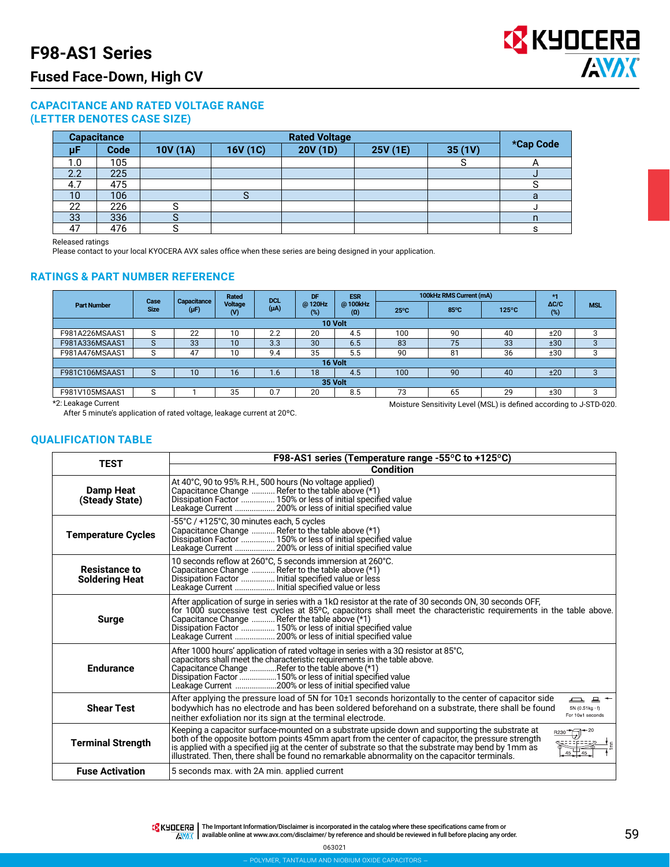## **Fused Face-Down, High CV**

#### **CAPACITANCE AND RATED VOLTAGE RANGE (LETTER DENOTES CASE SIZE)**

| <b>Capacitance</b> |      |         |          |          |          |        |           |
|--------------------|------|---------|----------|----------|----------|--------|-----------|
| μF                 | Code | 10V(1A) | 16V (1C) | 20V (1D) | 25V (1E) | 35(1V) | *Cap Code |
| 1.0                | 105  |         |          |          |          |        |           |
| 2.2                | 225  |         |          |          |          |        | u         |
| 4.7                | 475  |         |          |          |          |        |           |
| 10                 | 106  |         |          |          |          |        | a         |
| 22                 | 226  |         |          |          |          |        |           |
| 33                 | 336  |         |          |          |          |        |           |
| 47                 | 476  |         |          |          |          |        |           |

Released ratings

Please contact to your local KYOCERA AVX sales office when these series are being designed in your application.

#### **RATINGS & PART NUMBER REFERENCE**

|                    | Case<br><b>Size</b> | Capacitance<br>$(\mu F)$ | Rated<br>Voltage<br>$\mathsf{W}$ | <b>DCI</b><br>$(\mu A)$ | DF<br>@120Hz<br>(%) | <b>ESR</b><br>@100kHz<br>$\boldsymbol{\Omega}$ | 100kHz RMS Current (mA) |      |                 | $*1$                |            |
|--------------------|---------------------|--------------------------|----------------------------------|-------------------------|---------------------|------------------------------------------------|-------------------------|------|-----------------|---------------------|------------|
| <b>Part Number</b> |                     |                          |                                  |                         |                     |                                                | $25^{\circ}$ C          | 85°C | $125^{\circ}$ C | $\Delta C/C$<br>(%) | <b>MSL</b> |
| 10 Volt            |                     |                          |                                  |                         |                     |                                                |                         |      |                 |                     |            |
| F981A226MSAAS1     | S                   | 22                       | 10                               | 2.2                     | 20                  | 4.5                                            | 100                     | 90   | 40              | ±20                 |            |
| F981A336MSAAS1     | S                   | 33                       | 10                               | 3.3                     | 30                  | 6.5                                            | 83                      | 75   | 33              | ±30                 |            |
| F981A476MSAAS1     | S                   | 47                       | 10                               | 9.4                     | 35                  | 5.5                                            | 90                      | 81   | 36              | ±30                 |            |
| 16 Volt            |                     |                          |                                  |                         |                     |                                                |                         |      |                 |                     |            |
| F981C106MSAAS1     | S                   | 10                       | 16                               | 1.6                     | 18                  | 4.5                                            | 100                     | 90   | 40              | ±20                 |            |
| 35 Volt            |                     |                          |                                  |                         |                     |                                                |                         |      |                 |                     |            |
| F981V105MSAAS1     | C                   |                          | 35                               | 0.7                     | 20                  | 8.5                                            | 73                      | 65   | 29              | ±30                 |            |

\*2: Leakage Current

After 5 minute's application of rated voltage, leakage current at 20ºC.

Moisture Sensitivity Level (MSL) is defined according to J-STD-020.

#### **QUALIFICATION TABLE**

| <b>TEST</b>                                   | F98-AS1 series (Temperature range -55°C to +125°C)                                                                                                                                                                                                                                                                                                                                                                                      |  |  |  |  |  |  |  |
|-----------------------------------------------|-----------------------------------------------------------------------------------------------------------------------------------------------------------------------------------------------------------------------------------------------------------------------------------------------------------------------------------------------------------------------------------------------------------------------------------------|--|--|--|--|--|--|--|
|                                               | Condition                                                                                                                                                                                                                                                                                                                                                                                                                               |  |  |  |  |  |  |  |
| <b>Damp Heat</b><br>(Steady State)            | At 40°C, 90 to 95% R.H., 500 hours (No voltage applied)<br>Capacitance Change  Refer to the table above (*1)<br>Dissipation Factor  150% or less of initial specified value<br>Leakage Current  200% or less of initial specified value                                                                                                                                                                                                 |  |  |  |  |  |  |  |
| <b>Temperature Cycles</b>                     | -55°C / +125°C, 30 minutes each, 5 cycles<br>Capacitance Change  Refer to the table above (*1)<br>Dissipation Factor  150% or less of initial specified value<br>Leakage Current  200% or less of initial specified value                                                                                                                                                                                                               |  |  |  |  |  |  |  |
| <b>Resistance to</b><br><b>Soldering Heat</b> | 10 seconds reflow at 260°C, 5 seconds immersion at 260°C.<br>Capacitance Change  Refer to the table above (*1)<br>Dissipation Factor  Initial specified value or less<br>Leakage Current  Initial specified value or less                                                                                                                                                                                                               |  |  |  |  |  |  |  |
| <b>Surge</b>                                  | After application of surge in series with a $1k\Omega$ resistor at the rate of 30 seconds ON, 30 seconds OFF,<br>for 1000 successive test cycles at 85°C, capacitors shall meet the characteristic requirements in the table above.<br>Capacitance Change  Refer the table above (*1)<br>Dissipation Factor  150% or less of initial specified value<br>Leakage Current  200% or less of initial specified value                        |  |  |  |  |  |  |  |
| <b>Endurance</b>                              | After 1000 hours' application of rated voltage in series with a $3\Omega$ resistor at 85°C,<br>capacitors shall meet the characteristic requirements in the table above.<br>Capacitance Change Refer to the table above (*1)<br>Dissipation Factor 150% or less of initial specified value<br>Leakage Current 200% or less of initial specified value                                                                                   |  |  |  |  |  |  |  |
| <b>Shear Test</b>                             | After applying the pressure load of 5N for $10±1$ seconds horizontally to the center of capacitor side<br>$\Box$ $\Box$ $\sim$<br>bodywhich has no electrode and has been soldered beforehand on a substrate, there shall be found<br>$5N(0.51kg \cdot f)$<br>For 10±1 seconds<br>neither exfoliation nor its sign at the terminal electrode.                                                                                           |  |  |  |  |  |  |  |
| <b>Terminal Strength</b>                      | Keeping a capacitor surface-mounted on a substrate upside down and supporting the substrate at<br>$8230 - 20$<br>both of the opposite bottom points 45mm apart from the center of capacitor, the pressure strength<br>is applied with a specified jig at the center of substrate so that the substrate may bend by 1mm as<br>$45 + 45$<br>illustrated. Then, there shall be found no remarkable abnormality on the capacitor terminals. |  |  |  |  |  |  |  |
| <b>Fuse Activation</b>                        | 5 seconds max. with 2A min. applied current                                                                                                                                                                                                                                                                                                                                                                                             |  |  |  |  |  |  |  |

The Important Information/Disclaimer is incorporated in the catalog where these specifications came from or available online at [www.avx.com/disclaimer/](http://www.avx.com/disclaimer/) by reference and should be reviewed in full before placing any order.

063021